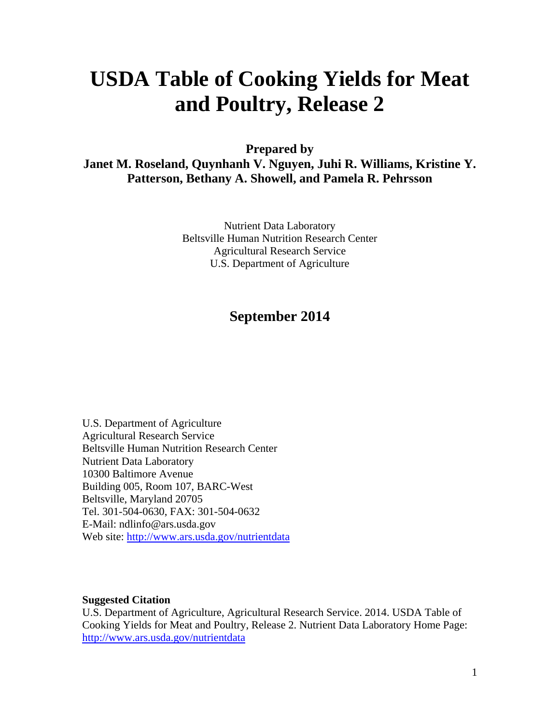# **USDA Table of Cooking Yields for Meat and Poultry, Release 2**

**Prepared by Janet M. Roseland, Quynhanh V. Nguyen, Juhi R. Williams, Kristine Y. Patterson, Bethany A. Showell, and Pamela R. Pehrsson** 

> Nutrient Data Laboratory Beltsville Human Nutrition Research Center Agricultural Research Service U.S. Department of Agriculture

## **September 2014**

U.S. Department of Agriculture Agricultural Research Service Beltsville Human Nutrition Research Center Nutrient Data Laboratory 10300 Baltimore Avenue Building 005, Room 107, BARC-West Beltsville, Maryland 20705 Tel. 301-504-0630, FAX: 301-504-0632 E-Mail: ndlinfo@ars.usda.gov Web site: http://www.ars.usda.gov/nutrientdata

#### **Suggested Citation**

U.S. Department of Agriculture, Agricultural Research Service. 2014. USDA Table of Cooking Yields for Meat and Poultry, Release 2. Nutrient Data Laboratory Home Page: http://www.ars.usda.gov/nutrientdata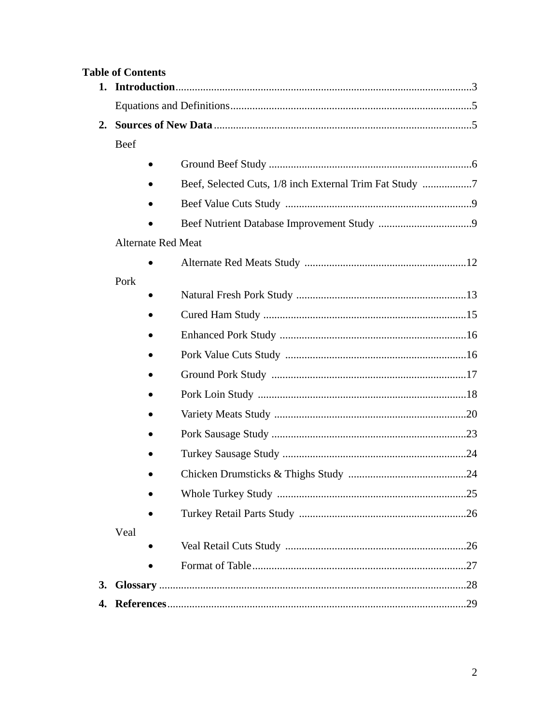|    | <b>Table of Contents</b>                                |  |  |  |  |
|----|---------------------------------------------------------|--|--|--|--|
|    |                                                         |  |  |  |  |
|    |                                                         |  |  |  |  |
| 2. |                                                         |  |  |  |  |
|    | Beef                                                    |  |  |  |  |
|    |                                                         |  |  |  |  |
|    | Beef, Selected Cuts, 1/8 inch External Trim Fat Study 7 |  |  |  |  |
|    |                                                         |  |  |  |  |
|    |                                                         |  |  |  |  |
|    | <b>Alternate Red Meat</b>                               |  |  |  |  |
|    |                                                         |  |  |  |  |
|    | Pork                                                    |  |  |  |  |
|    |                                                         |  |  |  |  |
|    |                                                         |  |  |  |  |
|    |                                                         |  |  |  |  |
|    |                                                         |  |  |  |  |
|    |                                                         |  |  |  |  |
|    |                                                         |  |  |  |  |
|    |                                                         |  |  |  |  |
|    |                                                         |  |  |  |  |
|    |                                                         |  |  |  |  |
|    |                                                         |  |  |  |  |
|    |                                                         |  |  |  |  |
|    | Veal                                                    |  |  |  |  |
|    |                                                         |  |  |  |  |
|    |                                                         |  |  |  |  |
| 3. |                                                         |  |  |  |  |
| 4. |                                                         |  |  |  |  |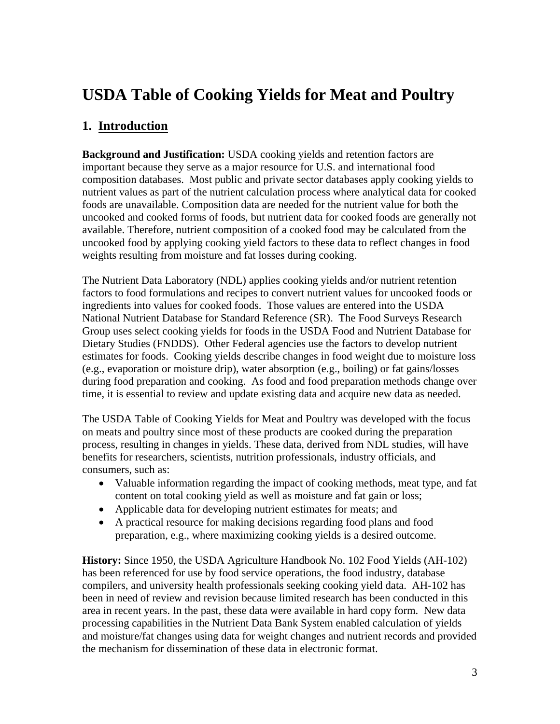## **USDA Table of Cooking Yields for Meat and Poultry**

## **1. Introduction**

**Background and Justification:** USDA cooking yields and retention factors are important because they serve as a major resource for U.S. and international food composition databases. Most public and private sector databases apply cooking yields to nutrient values as part of the nutrient calculation process where analytical data for cooked foods are unavailable. Composition data are needed for the nutrient value for both the uncooked and cooked forms of foods, but nutrient data for cooked foods are generally not available. Therefore, nutrient composition of a cooked food may be calculated from the uncooked food by applying cooking yield factors to these data to reflect changes in food weights resulting from moisture and fat losses during cooking.

The Nutrient Data Laboratory (NDL) applies cooking yields and/or nutrient retention factors to food formulations and recipes to convert nutrient values for uncooked foods or ingredients into values for cooked foods. Those values are entered into the USDA National Nutrient Database for Standard Reference (SR). The Food Surveys Research Group uses select cooking yields for foods in the USDA Food and Nutrient Database for Dietary Studies (FNDDS). Other Federal agencies use the factors to develop nutrient estimates for foods. Cooking yields describe changes in food weight due to moisture loss (e.g., evaporation or moisture drip), water absorption (e.g., boiling) or fat gains/losses during food preparation and cooking. As food and food preparation methods change over time, it is essential to review and update existing data and acquire new data as needed.

The USDA Table of Cooking Yields for Meat and Poultry was developed with the focus on meats and poultry since most of these products are cooked during the preparation process, resulting in changes in yields. These data, derived from NDL studies, will have benefits for researchers, scientists, nutrition professionals, industry officials, and consumers, such as:

- Valuable information regarding the impact of cooking methods, meat type, and fat content on total cooking yield as well as moisture and fat gain or loss;
- Applicable data for developing nutrient estimates for meats; and
- A practical resource for making decisions regarding food plans and food preparation, e.g., where maximizing cooking yields is a desired outcome.

**History:** Since 1950, the USDA Agriculture Handbook No. 102 Food Yields (AH-102) has been referenced for use by food service operations, the food industry, database compilers, and university health professionals seeking cooking yield data. AH-102 has been in need of review and revision because limited research has been conducted in this area in recent years. In the past, these data were available in hard copy form. New data processing capabilities in the Nutrient Data Bank System enabled calculation of yields and moisture/fat changes using data for weight changes and nutrient records and provided the mechanism for dissemination of these data in electronic format.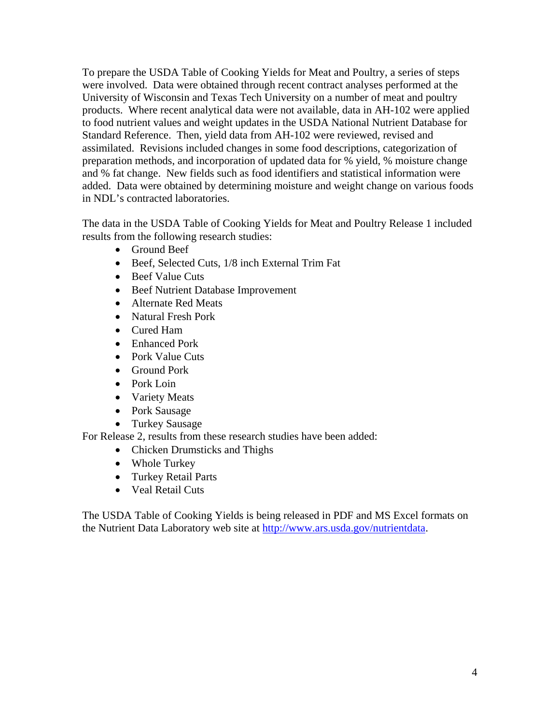To prepare the USDA Table of Cooking Yields for Meat and Poultry, a series of steps were involved. Data were obtained through recent contract analyses performed at the University of Wisconsin and Texas Tech University on a number of meat and poultry products. Where recent analytical data were not available, data in AH-102 were applied to food nutrient values and weight updates in the USDA National Nutrient Database for Standard Reference. Then, yield data from AH-102 were reviewed, revised and assimilated. Revisions included changes in some food descriptions, categorization of preparation methods, and incorporation of updated data for % yield, % moisture change and % fat change. New fields such as food identifiers and statistical information were added. Data were obtained by determining moisture and weight change on various foods in NDL's contracted laboratories.

The data in the USDA Table of Cooking Yields for Meat and Poultry Release 1 included results from the following research studies:

- Ground Beef
- Beef, Selected Cuts, 1/8 inch External Trim Fat
- Beef Value Cuts
- Beef Nutrient Database Improvement
- Alternate Red Meats
- Natural Fresh Pork
- Cured Ham
- Enhanced Pork
- Pork Value Cuts
- Ground Pork
- Pork Loin
- Variety Meats
- Pork Sausage
- Turkey Sausage

For Release 2, results from these research studies have been added:

- Chicken Drumsticks and Thighs
- Whole Turkey
- Turkey Retail Parts
- Veal Retail Cuts

The USDA Table of Cooking Yields is being released in PDF and MS Excel formats on the Nutrient Data Laboratory web site at http://www.ars.usda.gov/nutrientdata.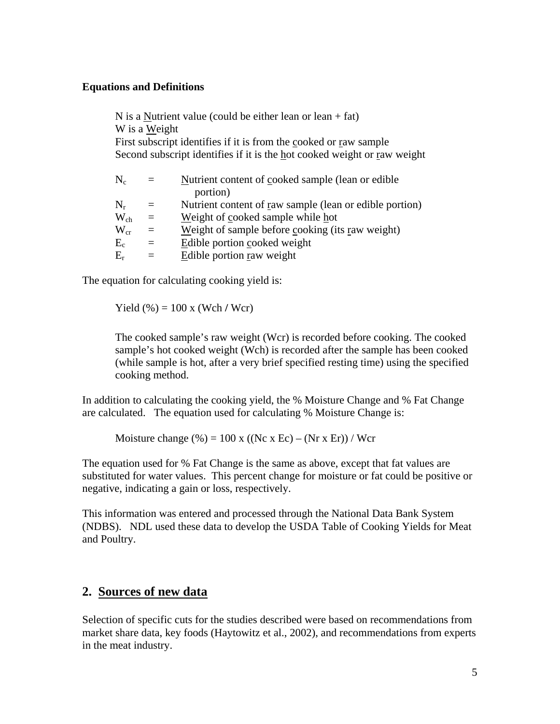#### **Equations and Definitions**

N is a Nutrient value (could be either lean or lean  $+$  fat) W is a Weight First subscript identifies if it is from the cooked or raw sample Second subscript identifies if it is the hot cooked weight or raw weight

| $\rm N_c$     | $=$ | Nutrient content of cooked sample (lean or edible)      |
|---------------|-----|---------------------------------------------------------|
|               |     | portion)                                                |
| $N_r$         | $=$ | Nutrient content of raw sample (lean or edible portion) |
| $\rm W_{ch}$  | $=$ | Weight of cooked sample while hot                       |
| $\rm{W_{cr}}$ | $=$ | Weight of sample before cooking (its raw weight)        |
| $E_c$         | $=$ | Edible portion cooked weight                            |
| $E_r$         | $=$ | Edible portion raw weight                               |
|               |     |                                                         |

The equation for calculating cooking yield is:

Yield (%) = 100 x (Wch **/** Wcr)

The cooked sample's raw weight (Wcr) is recorded before cooking. The cooked sample's hot cooked weight (Wch) is recorded after the sample has been cooked (while sample is hot, after a very brief specified resting time) using the specified cooking method.

In addition to calculating the cooking yield, the % Moisture Change and % Fat Change are calculated. The equation used for calculating % Moisture Change is:

Moisture change  $(\%)=100 \text{ x } ((\text{Nc x }Ec) - (\text{Nr x }Er))/\text{Wcr}$ 

The equation used for % Fat Change is the same as above, except that fat values are substituted for water values. This percent change for moisture or fat could be positive or negative, indicating a gain or loss, respectively.

This information was entered and processed through the National Data Bank System (NDBS). NDL used these data to develop the USDA Table of Cooking Yields for Meat and Poultry.

#### **2. Sources of new data**

Selection of specific cuts for the studies described were based on recommendations from market share data, key foods (Haytowitz et al., 2002), and recommendations from experts in the meat industry.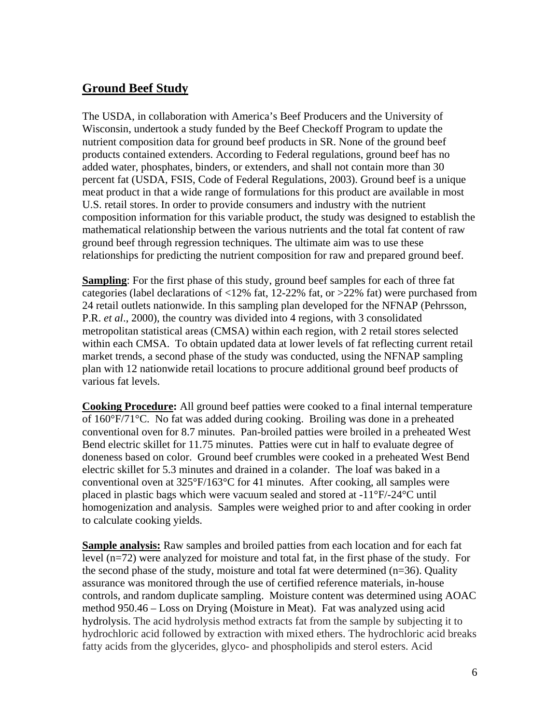#### **Ground Beef Study**

The USDA, in collaboration with America's Beef Producers and the University of Wisconsin, undertook a study funded by the Beef Checkoff Program to update the nutrient composition data for ground beef products in SR. None of the ground beef products contained extenders. According to Federal regulations, ground beef has no added water, phosphates, binders, or extenders, and shall not contain more than 30 percent fat (USDA, FSIS, Code of Federal Regulations, 2003). Ground beef is a unique meat product in that a wide range of formulations for this product are available in most U.S. retail stores. In order to provide consumers and industry with the nutrient composition information for this variable product, the study was designed to establish the mathematical relationship between the various nutrients and the total fat content of raw ground beef through regression techniques. The ultimate aim was to use these relationships for predicting the nutrient composition for raw and prepared ground beef.

**Sampling**: For the first phase of this study, ground beef samples for each of three fat categories (label declarations of <12% fat, 12-22% fat, or >22% fat) were purchased from 24 retail outlets nationwide. In this sampling plan developed for the NFNAP (Pehrsson, P.R. *et al*., 2000), the country was divided into 4 regions, with 3 consolidated metropolitan statistical areas (CMSA) within each region, with 2 retail stores selected within each CMSA. To obtain updated data at lower levels of fat reflecting current retail market trends, a second phase of the study was conducted, using the NFNAP sampling plan with 12 nationwide retail locations to procure additional ground beef products of various fat levels.

**Cooking Procedure:** All ground beef patties were cooked to a final internal temperature of 160°F/71°C. No fat was added during cooking. Broiling was done in a preheated conventional oven for 8.7 minutes. Pan-broiled patties were broiled in a preheated West Bend electric skillet for 11.75 minutes. Patties were cut in half to evaluate degree of doneness based on color. Ground beef crumbles were cooked in a preheated West Bend electric skillet for 5.3 minutes and drained in a colander. The loaf was baked in a conventional oven at 325°F/163°C for 41 minutes. After cooking, all samples were placed in plastic bags which were vacuum sealed and stored at -11°F/-24°C until homogenization and analysis. Samples were weighed prior to and after cooking in order to calculate cooking yields.

**Sample analysis:** Raw samples and broiled patties from each location and for each fat level (n=72) were analyzed for moisture and total fat, in the first phase of the study. For the second phase of the study, moisture and total fat were determined (n=36). Quality assurance was monitored through the use of certified reference materials, in-house controls, and random duplicate sampling. Moisture content was determined using AOAC method 950.46 – Loss on Drying (Moisture in Meat). Fat was analyzed using acid hydrolysis. The acid hydrolysis method extracts fat from the sample by subjecting it to hydrochloric acid followed by extraction with mixed ethers. The hydrochloric acid breaks fatty acids from the glycerides, glyco- and phospholipids and sterol esters. Acid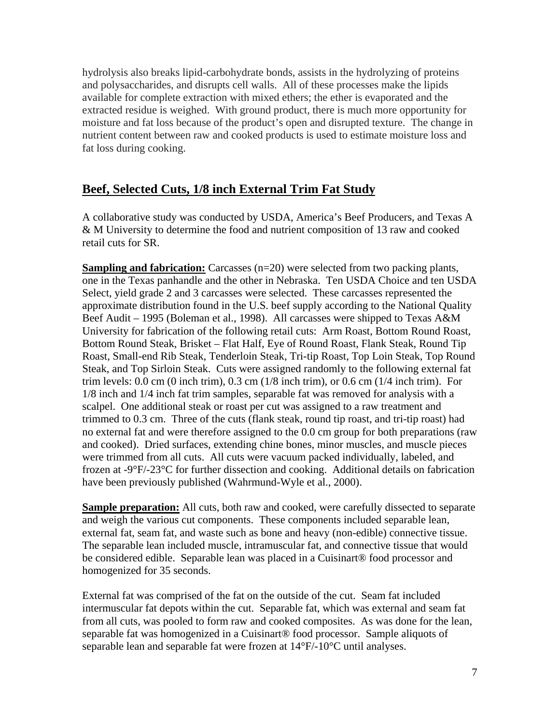hydrolysis also breaks lipid-carbohydrate bonds, assists in the hydrolyzing of proteins and polysaccharides, and disrupts cell walls. All of these processes make the lipids available for complete extraction with mixed ethers; the ether is evaporated and the extracted residue is weighed. With ground product, there is much more opportunity for moisture and fat loss because of the product's open and disrupted texture. The change in nutrient content between raw and cooked products is used to estimate moisture loss and fat loss during cooking.

#### **Beef, Selected Cuts, 1/8 inch External Trim Fat Study**

A collaborative study was conducted by USDA, America's Beef Producers, and Texas A & M University to determine the food and nutrient composition of 13 raw and cooked retail cuts for SR.

**Sampling and fabrication:** Carcasses (n=20) were selected from two packing plants, one in the Texas panhandle and the other in Nebraska. Ten USDA Choice and ten USDA Select, yield grade 2 and 3 carcasses were selected. These carcasses represented the approximate distribution found in the U.S. beef supply according to the National Quality Beef Audit – 1995 (Boleman et al., 1998). All carcasses were shipped to Texas A&M University for fabrication of the following retail cuts: Arm Roast, Bottom Round Roast, Bottom Round Steak, Brisket – Flat Half, Eye of Round Roast, Flank Steak, Round Tip Roast, Small-end Rib Steak, Tenderloin Steak, Tri-tip Roast, Top Loin Steak, Top Round Steak, and Top Sirloin Steak. Cuts were assigned randomly to the following external fat trim levels: 0.0 cm (0 inch trim), 0.3 cm (1/8 inch trim), or 0.6 cm (1/4 inch trim). For 1/8 inch and 1/4 inch fat trim samples, separable fat was removed for analysis with a scalpel. One additional steak or roast per cut was assigned to a raw treatment and trimmed to 0.3 cm. Three of the cuts (flank steak, round tip roast, and tri-tip roast) had no external fat and were therefore assigned to the 0.0 cm group for both preparations (raw and cooked). Dried surfaces, extending chine bones, minor muscles, and muscle pieces were trimmed from all cuts. All cuts were vacuum packed individually, labeled, and frozen at -9°F/-23°C for further dissection and cooking. Additional details on fabrication have been previously published (Wahrmund-Wyle et al., 2000).

**Sample preparation:** All cuts, both raw and cooked, were carefully dissected to separate and weigh the various cut components. These components included separable lean, external fat, seam fat, and waste such as bone and heavy (non-edible) connective tissue. The separable lean included muscle, intramuscular fat, and connective tissue that would be considered edible. Separable lean was placed in a Cuisinart® food processor and homogenized for 35 seconds.

External fat was comprised of the fat on the outside of the cut. Seam fat included intermuscular fat depots within the cut. Separable fat, which was external and seam fat from all cuts, was pooled to form raw and cooked composites. As was done for the lean, separable fat was homogenized in a Cuisinart® food processor. Sample aliquots of separable lean and separable fat were frozen at 14°F/-10°C until analyses.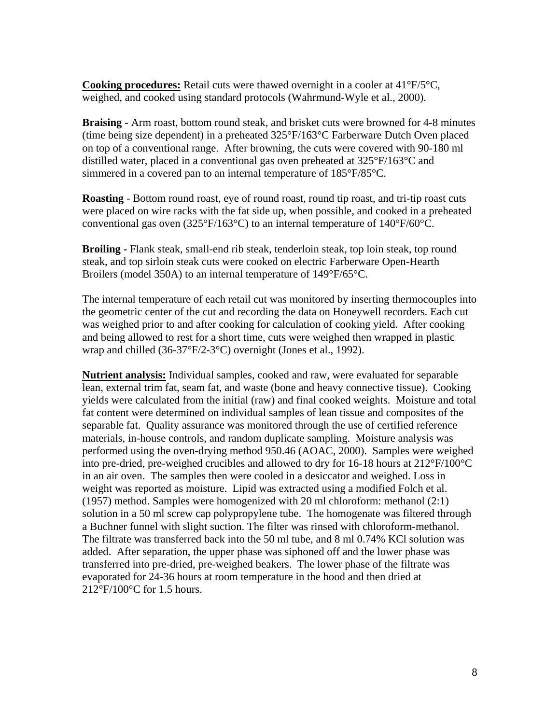**Cooking procedures:** Retail cuts were thawed overnight in a cooler at 41°F/5°C, weighed, and cooked using standard protocols (Wahrmund-Wyle et al., 2000).

**Braising** - Arm roast, bottom round steak, and brisket cuts were browned for 4-8 minutes (time being size dependent) in a preheated 325°F/163°C Farberware Dutch Oven placed on top of a conventional range. After browning, the cuts were covered with 90-180 ml distilled water, placed in a conventional gas oven preheated at 325°F/163°C and simmered in a covered pan to an internal temperature of 185°F/85°C.

**Roasting** - Bottom round roast, eye of round roast, round tip roast, and tri-tip roast cuts were placed on wire racks with the fat side up, when possible, and cooked in a preheated conventional gas oven  $(325^{\circ}F/163^{\circ}C)$  to an internal temperature of  $140^{\circ}F/60^{\circ}C$ .

**Broiling -** Flank steak, small-end rib steak, tenderloin steak, top loin steak, top round steak, and top sirloin steak cuts were cooked on electric Farberware Open-Hearth Broilers (model 350A) to an internal temperature of 149°F/65°C.

The internal temperature of each retail cut was monitored by inserting thermocouples into the geometric center of the cut and recording the data on Honeywell recorders. Each cut was weighed prior to and after cooking for calculation of cooking yield. After cooking and being allowed to rest for a short time, cuts were weighed then wrapped in plastic wrap and chilled (36-37°F/2-3°C) overnight (Jones et al., 1992).

**Nutrient analysis:** Individual samples, cooked and raw, were evaluated for separable lean, external trim fat, seam fat, and waste (bone and heavy connective tissue). Cooking yields were calculated from the initial (raw) and final cooked weights. Moisture and total fat content were determined on individual samples of lean tissue and composites of the separable fat. Quality assurance was monitored through the use of certified reference materials, in-house controls, and random duplicate sampling. Moisture analysis was performed using the oven-drying method 950.46 (AOAC, 2000). Samples were weighed into pre-dried, pre-weighed crucibles and allowed to dry for 16-18 hours at 212°F/100°C in an air oven. The samples then were cooled in a desiccator and weighed. Loss in weight was reported as moisture. Lipid was extracted using a modified Folch et al. (1957) method. Samples were homogenized with 20 ml chloroform: methanol (2:1) solution in a 50 ml screw cap polypropylene tube. The homogenate was filtered through a Buchner funnel with slight suction. The filter was rinsed with chloroform-methanol. The filtrate was transferred back into the 50 ml tube, and 8 ml 0.74% KCl solution was added. After separation, the upper phase was siphoned off and the lower phase was transferred into pre-dried, pre-weighed beakers. The lower phase of the filtrate was evaporated for 24-36 hours at room temperature in the hood and then dried at 212°F/100°C for 1.5 hours.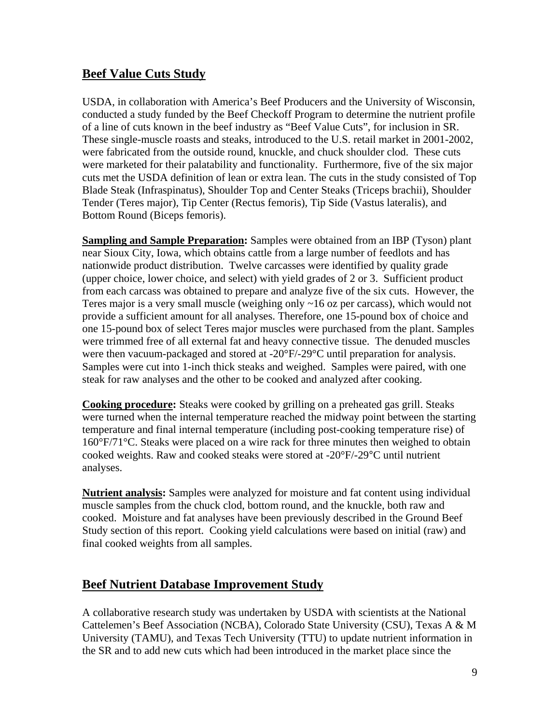## **Beef Value Cuts Study**

USDA, in collaboration with America's Beef Producers and the University of Wisconsin, conducted a study funded by the Beef Checkoff Program to determine the nutrient profile of a line of cuts known in the beef industry as "Beef Value Cuts", for inclusion in SR. These single-muscle roasts and steaks, introduced to the U.S. retail market in 2001-2002, were fabricated from the outside round, knuckle, and chuck shoulder clod. These cuts were marketed for their palatability and functionality. Furthermore, five of the six major cuts met the USDA definition of lean or extra lean. The cuts in the study consisted of Top Blade Steak (Infraspinatus), Shoulder Top and Center Steaks (Triceps brachii), Shoulder Tender (Teres major), Tip Center (Rectus femoris), Tip Side (Vastus lateralis), and Bottom Round (Biceps femoris).

**Sampling and Sample Preparation:** Samples were obtained from an IBP (Tyson) plant near Sioux City, Iowa, which obtains cattle from a large number of feedlots and has nationwide product distribution. Twelve carcasses were identified by quality grade (upper choice, lower choice, and select) with yield grades of 2 or 3. Sufficient product from each carcass was obtained to prepare and analyze five of the six cuts. However, the Teres major is a very small muscle (weighing only ~16 oz per carcass), which would not provide a sufficient amount for all analyses. Therefore, one 15-pound box of choice and one 15-pound box of select Teres major muscles were purchased from the plant. Samples were trimmed free of all external fat and heavy connective tissue. The denuded muscles were then vacuum-packaged and stored at -20°F/-29°C until preparation for analysis. Samples were cut into 1-inch thick steaks and weighed. Samples were paired, with one steak for raw analyses and the other to be cooked and analyzed after cooking.

**Cooking procedure:** Steaks were cooked by grilling on a preheated gas grill. Steaks were turned when the internal temperature reached the midway point between the starting temperature and final internal temperature (including post-cooking temperature rise) of 160°F/71°C. Steaks were placed on a wire rack for three minutes then weighed to obtain cooked weights. Raw and cooked steaks were stored at -20°F/-29°C until nutrient analyses.

**Nutrient analysis:** Samples were analyzed for moisture and fat content using individual muscle samples from the chuck clod, bottom round, and the knuckle, both raw and cooked. Moisture and fat analyses have been previously described in the Ground Beef Study section of this report. Cooking yield calculations were based on initial (raw) and final cooked weights from all samples.

## **Beef Nutrient Database Improvement Study**

A collaborative research study was undertaken by USDA with scientists at the National Cattelemen's Beef Association (NCBA), Colorado State University (CSU), Texas A & M University (TAMU), and Texas Tech University (TTU) to update nutrient information in the SR and to add new cuts which had been introduced in the market place since the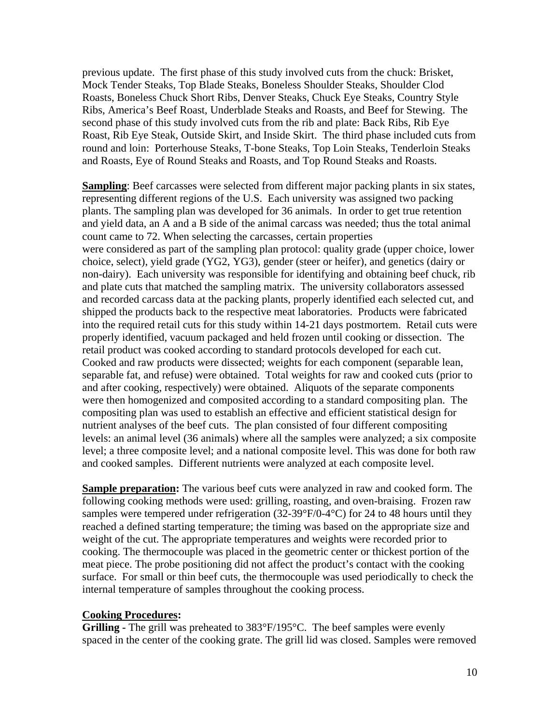previous update. The first phase of this study involved cuts from the chuck: Brisket, Mock Tender Steaks, Top Blade Steaks, Boneless Shoulder Steaks, Shoulder Clod Roasts, Boneless Chuck Short Ribs, Denver Steaks, Chuck Eye Steaks, Country Style Ribs, America's Beef Roast, Underblade Steaks and Roasts, and Beef for Stewing. The second phase of this study involved cuts from the rib and plate: Back Ribs, Rib Eye Roast, Rib Eye Steak, Outside Skirt, and Inside Skirt. The third phase included cuts from round and loin: Porterhouse Steaks, T-bone Steaks, Top Loin Steaks, Tenderloin Steaks and Roasts, Eye of Round Steaks and Roasts, and Top Round Steaks and Roasts.

**Sampling**: Beef carcasses were selected from different major packing plants in six states, representing different regions of the U.S. Each university was assigned two packing plants. The sampling plan was developed for 36 animals. In order to get true retention and yield data, an A and a B side of the animal carcass was needed; thus the total animal count came to 72. When selecting the carcasses, certain properties were considered as part of the sampling plan protocol: quality grade (upper choice, lower choice, select), yield grade (YG2, YG3), gender (steer or heifer), and genetics (dairy or non-dairy). Each university was responsible for identifying and obtaining beef chuck, rib and plate cuts that matched the sampling matrix. The university collaborators assessed and recorded carcass data at the packing plants, properly identified each selected cut, and shipped the products back to the respective meat laboratories. Products were fabricated into the required retail cuts for this study within 14-21 days postmortem. Retail cuts were properly identified, vacuum packaged and held frozen until cooking or dissection. The retail product was cooked according to standard protocols developed for each cut. Cooked and raw products were dissected; weights for each component (separable lean, separable fat, and refuse) were obtained. Total weights for raw and cooked cuts (prior to and after cooking, respectively) were obtained. Aliquots of the separate components were then homogenized and composited according to a standard compositing plan. The compositing plan was used to establish an effective and efficient statistical design for nutrient analyses of the beef cuts. The plan consisted of four different compositing levels: an animal level (36 animals) where all the samples were analyzed; a six composite level; a three composite level; and a national composite level. This was done for both raw and cooked samples. Different nutrients were analyzed at each composite level.

**Sample preparation:** The various beef cuts were analyzed in raw and cooked form. The following cooking methods were used: grilling, roasting, and oven-braising. Frozen raw samples were tempered under refrigeration (32-39°F/0-4°C) for 24 to 48 hours until they reached a defined starting temperature; the timing was based on the appropriate size and weight of the cut. The appropriate temperatures and weights were recorded prior to cooking. The thermocouple was placed in the geometric center or thickest portion of the meat piece. The probe positioning did not affect the product's contact with the cooking surface. For small or thin beef cuts, the thermocouple was used periodically to check the internal temperature of samples throughout the cooking process.

#### **Cooking Procedures:**

**Grilling -** The grill was preheated to 383°F/195°C. The beef samples were evenly spaced in the center of the cooking grate. The grill lid was closed. Samples were removed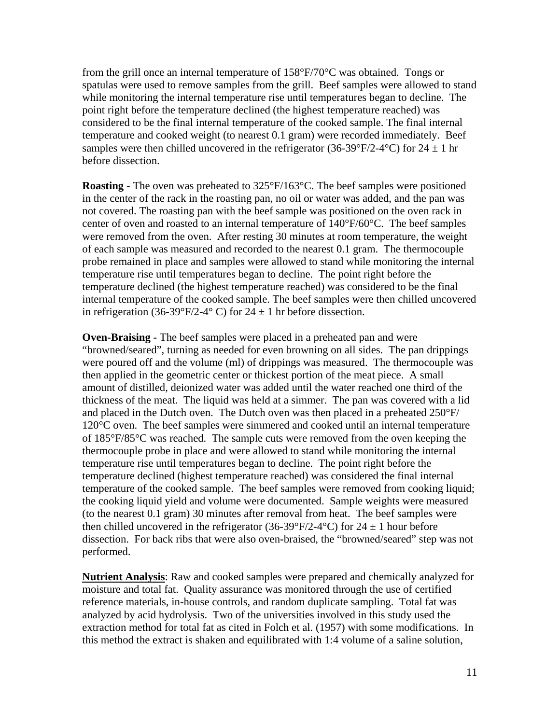from the grill once an internal temperature of 158°F/70°C was obtained. Tongs or spatulas were used to remove samples from the grill. Beef samples were allowed to stand while monitoring the internal temperature rise until temperatures began to decline. The point right before the temperature declined (the highest temperature reached) was considered to be the final internal temperature of the cooked sample. The final internal temperature and cooked weight (to nearest 0.1 gram) were recorded immediately. Beef samples were then chilled uncovered in the refrigerator (36-39°F/2-4°C) for  $24 \pm 1$  hr before dissection.

**Roasting** - The oven was preheated to 325°F/163°C. The beef samples were positioned in the center of the rack in the roasting pan, no oil or water was added, and the pan was not covered. The roasting pan with the beef sample was positioned on the oven rack in center of oven and roasted to an internal temperature of 140°F/60°C. The beef samples were removed from the oven. After resting 30 minutes at room temperature, the weight of each sample was measured and recorded to the nearest 0.1 gram. The thermocouple probe remained in place and samples were allowed to stand while monitoring the internal temperature rise until temperatures began to decline. The point right before the temperature declined (the highest temperature reached) was considered to be the final internal temperature of the cooked sample. The beef samples were then chilled uncovered in refrigeration (36-39°F/2-4° C) for  $24 \pm 1$  hr before dissection.

**Oven-Braising -** The beef samples were placed in a preheated pan and were "browned/seared", turning as needed for even browning on all sides. The pan drippings were poured off and the volume (ml) of drippings was measured. The thermocouple was then applied in the geometric center or thickest portion of the meat piece. A small amount of distilled, deionized water was added until the water reached one third of the thickness of the meat. The liquid was held at a simmer. The pan was covered with a lid and placed in the Dutch oven. The Dutch oven was then placed in a preheated 250°F/ 120°C oven. The beef samples were simmered and cooked until an internal temperature of 185°F/85°C was reached. The sample cuts were removed from the oven keeping the thermocouple probe in place and were allowed to stand while monitoring the internal temperature rise until temperatures began to decline. The point right before the temperature declined (highest temperature reached) was considered the final internal temperature of the cooked sample. The beef samples were removed from cooking liquid; the cooking liquid yield and volume were documented. Sample weights were measured (to the nearest 0.1 gram) 30 minutes after removal from heat. The beef samples were then chilled uncovered in the refrigerator (36-39°F/2-4°C) for  $24 \pm 1$  hour before dissection. For back ribs that were also oven**-**braised, the "browned/seared" step was not performed.

**Nutrient Analysis**: Raw and cooked samples were prepared and chemically analyzed for moisture and total fat. Quality assurance was monitored through the use of certified reference materials, in-house controls, and random duplicate sampling. Total fat was analyzed by acid hydrolysis. Two of the universities involved in this study used the extraction method for total fat as cited in Folch et al. (1957) with some modifications. In this method the extract is shaken and equilibrated with 1:4 volume of a saline solution,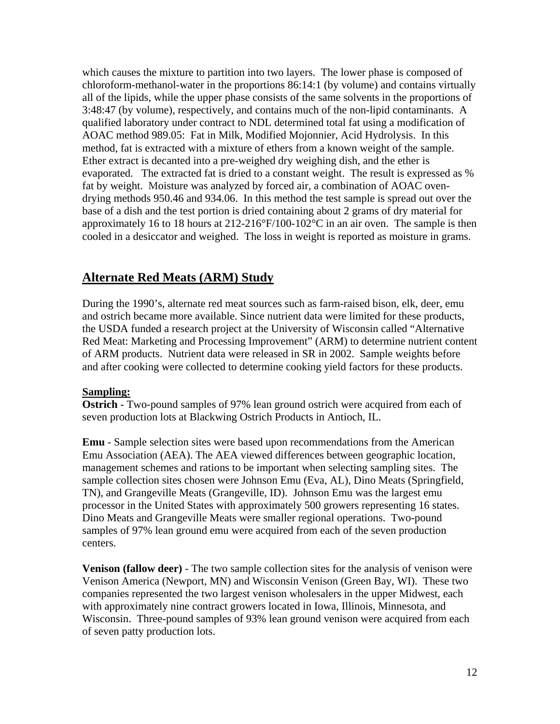which causes the mixture to partition into two layers. The lower phase is composed of chloroform-methanol-water in the proportions 86:14:1 (by volume) and contains virtually all of the lipids, while the upper phase consists of the same solvents in the proportions of 3:48:47 (by volume), respectively, and contains much of the non-lipid contaminants. A qualified laboratory under contract to NDL determined total fat using a modification of AOAC method 989.05: Fat in Milk, Modified Mojonnier, Acid Hydrolysis. In this method, fat is extracted with a mixture of ethers from a known weight of the sample. Ether extract is decanted into a pre-weighed dry weighing dish, and the ether is evaporated. The extracted fat is dried to a constant weight. The result is expressed as % fat by weight. Moisture was analyzed by forced air, a combination of AOAC ovendrying methods 950.46 and 934.06. In this method the test sample is spread out over the base of a dish and the test portion is dried containing about 2 grams of dry material for approximately 16 to 18 hours at 212-216°F/100-102°C in an air oven. The sample is then cooled in a desiccator and weighed. The loss in weight is reported as moisture in grams.

#### **Alternate Red Meats (ARM) Study**

During the 1990's, alternate red meat sources such as farm-raised bison, elk, deer, emu and ostrich became more available. Since nutrient data were limited for these products, the USDA funded a research project at the University of Wisconsin called "Alternative Red Meat: Marketing and Processing Improvement" (ARM) to determine nutrient content of ARM products. Nutrient data were released in SR in 2002. Sample weights before and after cooking were collected to determine cooking yield factors for these products.

#### **Sampling:**

**Ostrich** - Two-pound samples of 97% lean ground ostrich were acquired from each of seven production lots at Blackwing Ostrich Products in Antioch, IL.

**Emu** - Sample selection sites were based upon recommendations from the American Emu Association (AEA). The AEA viewed differences between geographic location, management schemes and rations to be important when selecting sampling sites. The sample collection sites chosen were Johnson Emu (Eva, AL), Dino Meats (Springfield, TN), and Grangeville Meats (Grangeville, ID). Johnson Emu was the largest emu processor in the United States with approximately 500 growers representing 16 states. Dino Meats and Grangeville Meats were smaller regional operations. Two-pound samples of 97% lean ground emu were acquired from each of the seven production centers.

**Venison (fallow deer)** - The two sample collection sites for the analysis of venison were Venison America (Newport, MN) and Wisconsin Venison (Green Bay, WI). These two companies represented the two largest venison wholesalers in the upper Midwest, each with approximately nine contract growers located in Iowa, Illinois, Minnesota, and Wisconsin. Three-pound samples of 93% lean ground venison were acquired from each of seven patty production lots.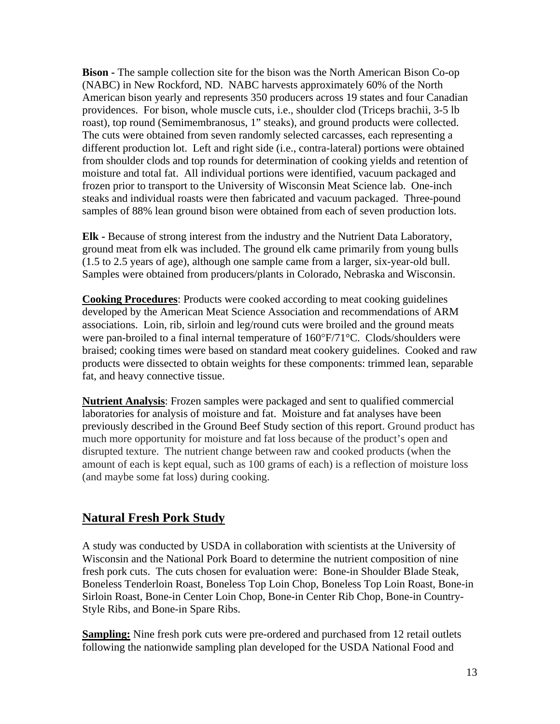**Bison -** The sample collection site for the bison was the North American Bison Co-op (NABC) in New Rockford, ND. NABC harvests approximately 60% of the North American bison yearly and represents 350 producers across 19 states and four Canadian providences. For bison, whole muscle cuts, i.e., shoulder clod (Triceps brachii, 3-5 lb roast), top round (Semimembranosus, 1" steaks), and ground products were collected. The cuts were obtained from seven randomly selected carcasses, each representing a different production lot. Left and right side (i.e., contra-lateral) portions were obtained from shoulder clods and top rounds for determination of cooking yields and retention of moisture and total fat. All individual portions were identified, vacuum packaged and frozen prior to transport to the University of Wisconsin Meat Science lab. One-inch steaks and individual roasts were then fabricated and vacuum packaged. Three-pound samples of 88% lean ground bison were obtained from each of seven production lots.

**Elk -** Because of strong interest from the industry and the Nutrient Data Laboratory, ground meat from elk was included. The ground elk came primarily from young bulls (1.5 to 2.5 years of age), although one sample came from a larger, six-year-old bull. Samples were obtained from producers/plants in Colorado, Nebraska and Wisconsin.

**Cooking Procedures**: Products were cooked according to meat cooking guidelines developed by the American Meat Science Association and recommendations of ARM associations. Loin, rib, sirloin and leg/round cuts were broiled and the ground meats were pan-broiled to a final internal temperature of  $160^{\circ}F/71^{\circ}C$ . Clods/shoulders were braised; cooking times were based on standard meat cookery guidelines. Cooked and raw products were dissected to obtain weights for these components: trimmed lean, separable fat, and heavy connective tissue.

**Nutrient Analysis**: Frozen samples were packaged and sent to qualified commercial laboratories for analysis of moisture and fat. Moisture and fat analyses have been previously described in the Ground Beef Study section of this report. Ground product has much more opportunity for moisture and fat loss because of the product's open and disrupted texture. The nutrient change between raw and cooked products (when the amount of each is kept equal, such as 100 grams of each) is a reflection of moisture loss (and maybe some fat loss) during cooking.

#### **Natural Fresh Pork Study**

A study was conducted by USDA in collaboration with scientists at the University of Wisconsin and the National Pork Board to determine the nutrient composition of nine fresh pork cuts. The cuts chosen for evaluation were: Bone-in Shoulder Blade Steak, Boneless Tenderloin Roast, Boneless Top Loin Chop, Boneless Top Loin Roast, Bone-in Sirloin Roast, Bone-in Center Loin Chop, Bone-in Center Rib Chop, Bone-in Country-Style Ribs, and Bone-in Spare Ribs.

**Sampling:** Nine fresh pork cuts were pre-ordered and purchased from 12 retail outlets following the nationwide sampling plan developed for the USDA National Food and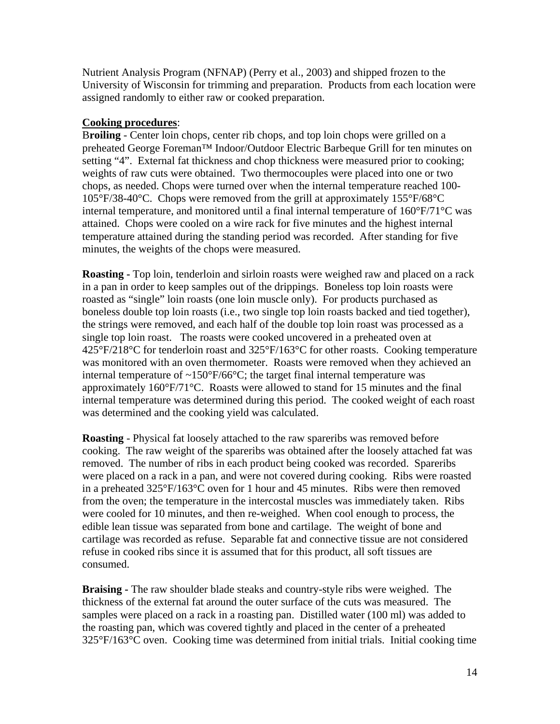Nutrient Analysis Program (NFNAP) (Perry et al., 2003) and shipped frozen to the University of Wisconsin for trimming and preparation. Products from each location were assigned randomly to either raw or cooked preparation.

#### **Cooking procedures**:

B**roiling** - Center loin chops, center rib chops, and top loin chops were grilled on a preheated George Foreman™ Indoor/Outdoor Electric Barbeque Grill for ten minutes on setting "4". External fat thickness and chop thickness were measured prior to cooking; weights of raw cuts were obtained. Two thermocouples were placed into one or two chops, as needed. Chops were turned over when the internal temperature reached 100- 105°F/38-40°C. Chops were removed from the grill at approximately 155°F/68°C internal temperature, and monitored until a final internal temperature of 160°F/71°C was attained. Chops were cooled on a wire rack for five minutes and the highest internal temperature attained during the standing period was recorded. After standing for five minutes, the weights of the chops were measured.

**Roasting -** Top loin, tenderloin and sirloin roasts were weighed raw and placed on a rack in a pan in order to keep samples out of the drippings. Boneless top loin roasts were roasted as "single" loin roasts (one loin muscle only). For products purchased as boneless double top loin roasts (i.e., two single top loin roasts backed and tied together), the strings were removed, and each half of the double top loin roast was processed as a single top loin roast. The roasts were cooked uncovered in a preheated oven at 425°F/218°C for tenderloin roast and 325°F/163°C for other roasts. Cooking temperature was monitored with an oven thermometer. Roasts were removed when they achieved an internal temperature of  $\sim 150^{\circ}F/66^{\circ}C$ ; the target final internal temperature was approximately 160°F/71°C. Roasts were allowed to stand for 15 minutes and the final internal temperature was determined during this period. The cooked weight of each roast was determined and the cooking yield was calculated.

**Roasting** - Physical fat loosely attached to the raw spareribs was removed before cooking. The raw weight of the spareribs was obtained after the loosely attached fat was removed. The number of ribs in each product being cooked was recorded. Spareribs were placed on a rack in a pan, and were not covered during cooking. Ribs were roasted in a preheated 325°F/163°C oven for 1 hour and 45 minutes. Ribs were then removed from the oven; the temperature in the intercostal muscles was immediately taken. Ribs were cooled for 10 minutes, and then re-weighed. When cool enough to process, the edible lean tissue was separated from bone and cartilage. The weight of bone and cartilage was recorded as refuse. Separable fat and connective tissue are not considered refuse in cooked ribs since it is assumed that for this product, all soft tissues are consumed.

**Braising -** The raw shoulder blade steaks and country-style ribs were weighed. The thickness of the external fat around the outer surface of the cuts was measured. The samples were placed on a rack in a roasting pan. Distilled water (100 ml) was added to the roasting pan, which was covered tightly and placed in the center of a preheated 325°F/163°C oven. Cooking time was determined from initial trials. Initial cooking time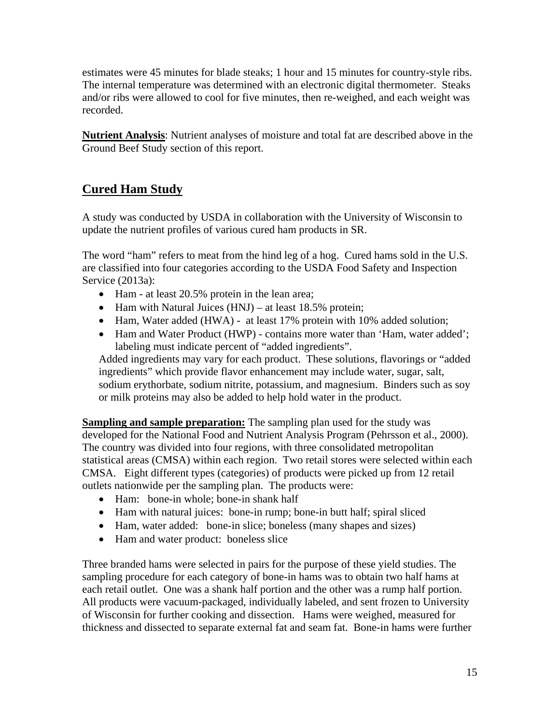estimates were 45 minutes for blade steaks; 1 hour and 15 minutes for country-style ribs. The internal temperature was determined with an electronic digital thermometer. Steaks and/or ribs were allowed to cool for five minutes, then re-weighed, and each weight was recorded.

**Nutrient Analysis**: Nutrient analyses of moisture and total fat are described above in the Ground Beef Study section of this report.

## **Cured Ham Study**

A study was conducted by USDA in collaboration with the University of Wisconsin to update the nutrient profiles of various cured ham products in SR.

The word "ham" refers to meat from the hind leg of a hog. Cured hams sold in the U.S. are classified into four categories according to the USDA Food Safety and Inspection Service (2013a):

- Ham at least 20.5% protein in the lean area;
- Ham with Natural Juices  $(HNJ) at least 18.5\%$  protein;
- Ham, Water added (HWA) at least 17% protein with 10% added solution;
- Ham and Water Product (HWP) contains more water than 'Ham, water added'; labeling must indicate percent of "added ingredients".

Added ingredients may vary for each product. These solutions, flavorings or "added ingredients" which provide flavor enhancement may include water, sugar, salt, sodium erythorbate, sodium nitrite, potassium, and magnesium. Binders such as soy or milk proteins may also be added to help hold water in the product.

**Sampling and sample preparation:** The sampling plan used for the study was developed for the National Food and Nutrient Analysis Program (Pehrsson et al., 2000). The country was divided into four regions, with three consolidated metropolitan statistical areas (CMSA) within each region. Two retail stores were selected within each CMSA. Eight different types (categories) of products were picked up from 12 retail outlets nationwide per the sampling plan. The products were:

- Ham: bone-in whole; bone-in shank half
- Ham with natural juices: bone-in rump; bone-in butt half; spiral sliced
- Ham, water added: bone-in slice; boneless (many shapes and sizes)
- Ham and water product: boneless slice

Three branded hams were selected in pairs for the purpose of these yield studies. The sampling procedure for each category of bone-in hams was to obtain two half hams at each retail outlet. One was a shank half portion and the other was a rump half portion. All products were vacuum-packaged, individually labeled, and sent frozen to University of Wisconsin for further cooking and dissection. Hams were weighed, measured for thickness and dissected to separate external fat and seam fat. Bone-in hams were further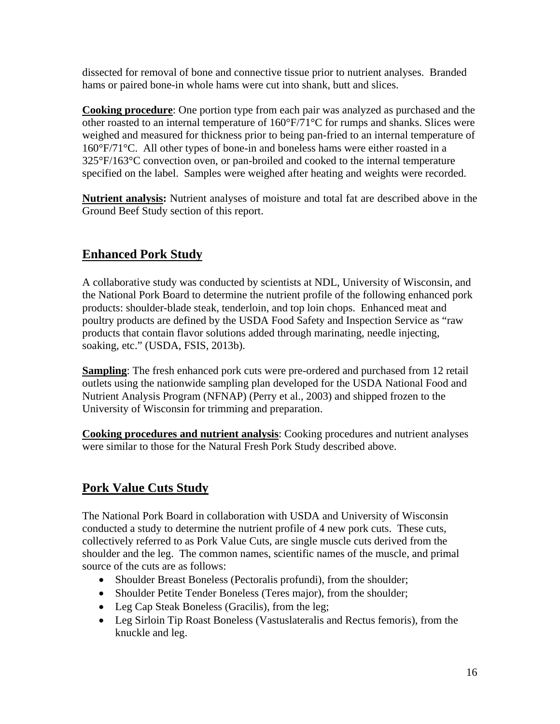dissected for removal of bone and connective tissue prior to nutrient analyses. Branded hams or paired bone-in whole hams were cut into shank, butt and slices.

**Cooking procedure**: One portion type from each pair was analyzed as purchased and the other roasted to an internal temperature of 160°F/71°C for rumps and shanks. Slices were weighed and measured for thickness prior to being pan-fried to an internal temperature of 160°F/71°C. All other types of bone-in and boneless hams were either roasted in a 325°F/163°C convection oven, or pan-broiled and cooked to the internal temperature specified on the label. Samples were weighed after heating and weights were recorded.

**Nutrient analysis:** Nutrient analyses of moisture and total fat are described above in the Ground Beef Study section of this report.

## **Enhanced Pork Study**

A collaborative study was conducted by scientists at NDL, University of Wisconsin, and the National Pork Board to determine the nutrient profile of the following enhanced pork products: shoulder-blade steak, tenderloin, and top loin chops. Enhanced meat and poultry products are defined by the USDA Food Safety and Inspection Service as "raw products that contain flavor solutions added through marinating, needle injecting, soaking, etc." (USDA, FSIS, 2013b).

**Sampling**: The fresh enhanced pork cuts were pre-ordered and purchased from 12 retail outlets using the nationwide sampling plan developed for the USDA National Food and Nutrient Analysis Program (NFNAP) (Perry et al., 2003) and shipped frozen to the University of Wisconsin for trimming and preparation.

**Cooking procedures and nutrient analysis**: Cooking procedures and nutrient analyses were similar to those for the Natural Fresh Pork Study described above.

## **Pork Value Cuts Study**

The National Pork Board in collaboration with USDA and University of Wisconsin conducted a study to determine the nutrient profile of 4 new pork cuts. These cuts, collectively referred to as Pork Value Cuts, are single muscle cuts derived from the shoulder and the leg. The common names, scientific names of the muscle, and primal source of the cuts are as follows:

- Shoulder Breast Boneless (Pectoralis profundi), from the shoulder;
- Shoulder Petite Tender Boneless (Teres major), from the shoulder;
- Leg Cap Steak Boneless (Gracilis), from the leg;
- Leg Sirloin Tip Roast Boneless (Vastuslateralis and Rectus femoris), from the knuckle and leg.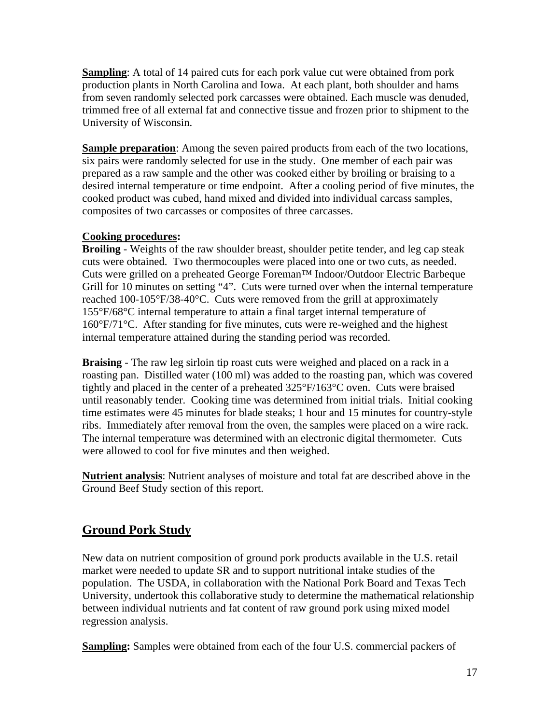**Sampling**: A total of 14 paired cuts for each pork value cut were obtained from pork production plants in North Carolina and Iowa. At each plant, both shoulder and hams from seven randomly selected pork carcasses were obtained. Each muscle was denuded, trimmed free of all external fat and connective tissue and frozen prior to shipment to the University of Wisconsin.

**Sample preparation:** Among the seven paired products from each of the two locations, six pairs were randomly selected for use in the study. One member of each pair was prepared as a raw sample and the other was cooked either by broiling or braising to a desired internal temperature or time endpoint. After a cooling period of five minutes, the cooked product was cubed, hand mixed and divided into individual carcass samples, composites of two carcasses or composites of three carcasses.

#### **Cooking procedures:**

**Broiling** - Weights of the raw shoulder breast, shoulder petite tender, and leg cap steak cuts were obtained. Two thermocouples were placed into one or two cuts, as needed. Cuts were grilled on a preheated George Foreman™ Indoor/Outdoor Electric Barbeque Grill for 10 minutes on setting "4". Cuts were turned over when the internal temperature reached 100-105°F/38-40°C. Cuts were removed from the grill at approximately 155°F/68°C internal temperature to attain a final target internal temperature of 160°F/71°C. After standing for five minutes, cuts were re-weighed and the highest internal temperature attained during the standing period was recorded.

**Braising** - The raw leg sirloin tip roast cuts were weighed and placed on a rack in a roasting pan. Distilled water (100 ml) was added to the roasting pan, which was covered tightly and placed in the center of a preheated 325°F/163°C oven. Cuts were braised until reasonably tender. Cooking time was determined from initial trials. Initial cooking time estimates were 45 minutes for blade steaks; 1 hour and 15 minutes for country-style ribs. Immediately after removal from the oven, the samples were placed on a wire rack. The internal temperature was determined with an electronic digital thermometer. Cuts were allowed to cool for five minutes and then weighed.

**Nutrient analysis**: Nutrient analyses of moisture and total fat are described above in the Ground Beef Study section of this report.

## **Ground Pork Study**

New data on nutrient composition of ground pork products available in the U.S. retail market were needed to update SR and to support nutritional intake studies of the population. The USDA, in collaboration with the National Pork Board and Texas Tech University, undertook this collaborative study to determine the mathematical relationship between individual nutrients and fat content of raw ground pork using mixed model regression analysis.

**Sampling:** Samples were obtained from each of the four U.S. commercial packers of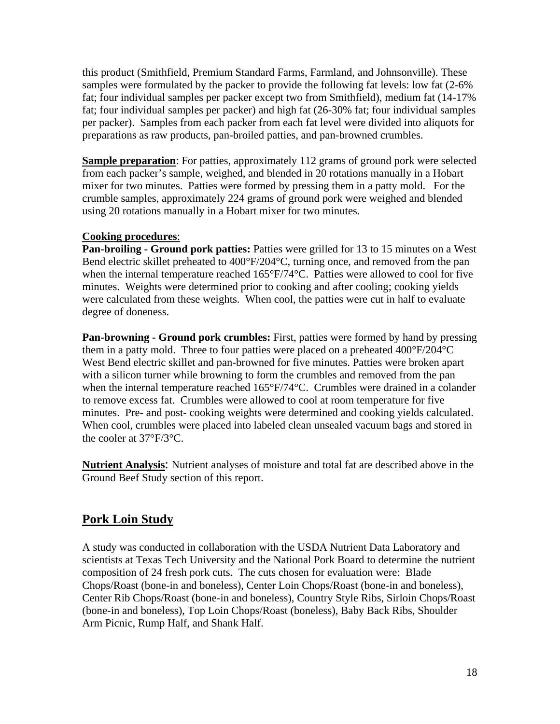this product (Smithfield, Premium Standard Farms, Farmland, and Johnsonville). These samples were formulated by the packer to provide the following fat levels: low fat (2-6% fat; four individual samples per packer except two from Smithfield), medium fat (14-17% fat; four individual samples per packer) and high fat (26-30% fat; four individual samples per packer). Samples from each packer from each fat level were divided into aliquots for preparations as raw products, pan-broiled patties, and pan-browned crumbles.

**Sample preparation**: For patties, approximately 112 grams of ground pork were selected from each packer's sample, weighed, and blended in 20 rotations manually in a Hobart mixer for two minutes. Patties were formed by pressing them in a patty mold. For the crumble samples, approximately 224 grams of ground pork were weighed and blended using 20 rotations manually in a Hobart mixer for two minutes.

#### **Cooking procedures**:

**Pan-broiling - Ground pork patties:** Patties were grilled for 13 to 15 minutes on a West Bend electric skillet preheated to 400°F/204°C, turning once, and removed from the pan when the internal temperature reached 165°F/74°C. Patties were allowed to cool for five minutes. Weights were determined prior to cooking and after cooling; cooking yields were calculated from these weights. When cool, the patties were cut in half to evaluate degree of doneness.

**Pan-browning - Ground pork crumbles:** First, patties were formed by hand by pressing them in a patty mold. Three to four patties were placed on a preheated 400°F/204°C West Bend electric skillet and pan-browned for five minutes. Patties were broken apart with a silicon turner while browning to form the crumbles and removed from the pan when the internal temperature reached 165°F/74°C. Crumbles were drained in a colander to remove excess fat. Crumbles were allowed to cool at room temperature for five minutes. Pre- and post- cooking weights were determined and cooking yields calculated. When cool, crumbles were placed into labeled clean unsealed vacuum bags and stored in the cooler at 37°F/3°C.

**Nutrient Analysis**: Nutrient analyses of moisture and total fat are described above in the Ground Beef Study section of this report.

## **Pork Loin Study**

A study was conducted in collaboration with the USDA Nutrient Data Laboratory and scientists at Texas Tech University and the National Pork Board to determine the nutrient composition of 24 fresh pork cuts. The cuts chosen for evaluation were: Blade Chops/Roast (bone-in and boneless), Center Loin Chops/Roast (bone-in and boneless), Center Rib Chops/Roast (bone-in and boneless), Country Style Ribs, Sirloin Chops/Roast (bone-in and boneless), Top Loin Chops/Roast (boneless), Baby Back Ribs, Shoulder Arm Picnic, Rump Half, and Shank Half.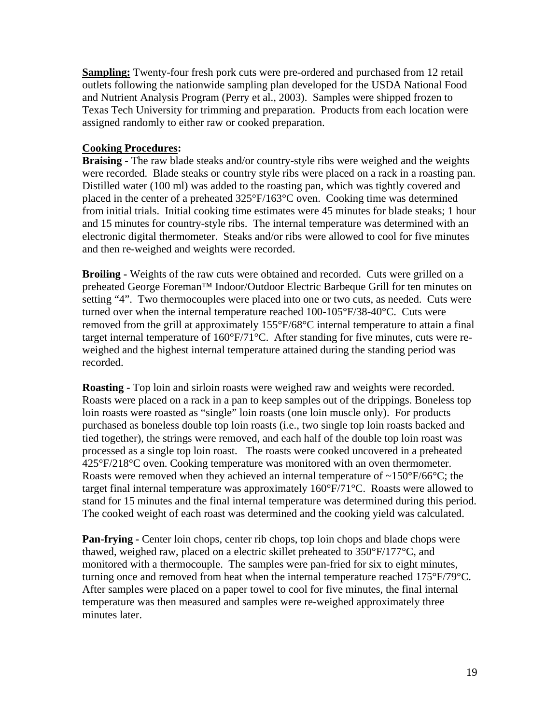**Sampling:** Twenty-four fresh pork cuts were pre-ordered and purchased from 12 retail outlets following the nationwide sampling plan developed for the USDA National Food and Nutrient Analysis Program (Perry et al., 2003). Samples were shipped frozen to Texas Tech University for trimming and preparation. Products from each location were assigned randomly to either raw or cooked preparation.

#### **Cooking Procedures:**

**Braising -** The raw blade steaks and/or country-style ribs were weighed and the weights were recorded. Blade steaks or country style ribs were placed on a rack in a roasting pan. Distilled water (100 ml) was added to the roasting pan, which was tightly covered and placed in the center of a preheated 325°F/163°C oven. Cooking time was determined from initial trials. Initial cooking time estimates were 45 minutes for blade steaks; 1 hour and 15 minutes for country-style ribs. The internal temperature was determined with an electronic digital thermometer. Steaks and/or ribs were allowed to cool for five minutes and then re-weighed and weights were recorded.

**Broiling -** Weights of the raw cuts were obtained and recorded. Cuts were grilled on a preheated George Foreman™ Indoor/Outdoor Electric Barbeque Grill for ten minutes on setting "4". Two thermocouples were placed into one or two cuts, as needed. Cuts were turned over when the internal temperature reached 100-105°F/38-40°C. Cuts were removed from the grill at approximately 155°F/68°C internal temperature to attain a final target internal temperature of 160°F/71°C. After standing for five minutes, cuts were reweighed and the highest internal temperature attained during the standing period was recorded.

**Roasting -** Top loin and sirloin roasts were weighed raw and weights were recorded. Roasts were placed on a rack in a pan to keep samples out of the drippings. Boneless top loin roasts were roasted as "single" loin roasts (one loin muscle only). For products purchased as boneless double top loin roasts (i.e., two single top loin roasts backed and tied together), the strings were removed, and each half of the double top loin roast was processed as a single top loin roast. The roasts were cooked uncovered in a preheated 425°F/218°C oven. Cooking temperature was monitored with an oven thermometer. Roasts were removed when they achieved an internal temperature of  $\sim$ 150 $\rm$ °F/66 $\rm$ °C; the target final internal temperature was approximately 160°F/71°C. Roasts were allowed to stand for 15 minutes and the final internal temperature was determined during this period. The cooked weight of each roast was determined and the cooking yield was calculated.

**Pan-frying -** Center loin chops, center rib chops, top loin chops and blade chops were thawed, weighed raw, placed on a electric skillet preheated to 350°F/177°C, and monitored with a thermocouple. The samples were pan-fried for six to eight minutes, turning once and removed from heat when the internal temperature reached 175°F/79°C. After samples were placed on a paper towel to cool for five minutes, the final internal temperature was then measured and samples were re-weighed approximately three minutes later.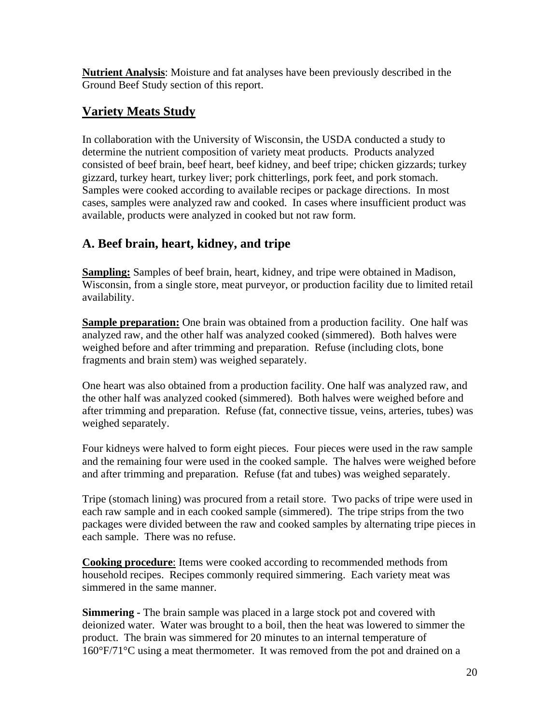**Nutrient Analysis**: Moisture and fat analyses have been previously described in the Ground Beef Study section of this report.

## **Variety Meats Study**

In collaboration with the University of Wisconsin, the USDA conducted a study to determine the nutrient composition of variety meat products. Products analyzed consisted of beef brain, beef heart, beef kidney, and beef tripe; chicken gizzards; turkey gizzard, turkey heart, turkey liver; pork chitterlings, pork feet, and pork stomach. Samples were cooked according to available recipes or package directions. In most cases, samples were analyzed raw and cooked. In cases where insufficient product was available, products were analyzed in cooked but not raw form.

## **A. Beef brain, heart, kidney, and tripe**

**Sampling:** Samples of beef brain, heart, kidney, and tripe were obtained in Madison, Wisconsin, from a single store, meat purveyor, or production facility due to limited retail availability.

**Sample preparation:** One brain was obtained from a production facility. One half was analyzed raw, and the other half was analyzed cooked (simmered). Both halves were weighed before and after trimming and preparation. Refuse (including clots, bone fragments and brain stem) was weighed separately.

One heart was also obtained from a production facility. One half was analyzed raw, and the other half was analyzed cooked (simmered). Both halves were weighed before and after trimming and preparation. Refuse (fat, connective tissue, veins, arteries, tubes) was weighed separately.

Four kidneys were halved to form eight pieces. Four pieces were used in the raw sample and the remaining four were used in the cooked sample. The halves were weighed before and after trimming and preparation. Refuse (fat and tubes) was weighed separately.

Tripe (stomach lining) was procured from a retail store. Two packs of tripe were used in each raw sample and in each cooked sample (simmered). The tripe strips from the two packages were divided between the raw and cooked samples by alternating tripe pieces in each sample. There was no refuse.

**Cooking procedure**: Items were cooked according to recommended methods from household recipes. Recipes commonly required simmering. Each variety meat was simmered in the same manner.

**Simmering -** The brain sample was placed in a large stock pot and covered with deionized water. Water was brought to a boil, then the heat was lowered to simmer the product. The brain was simmered for 20 minutes to an internal temperature of 160°F/71°C using a meat thermometer. It was removed from the pot and drained on a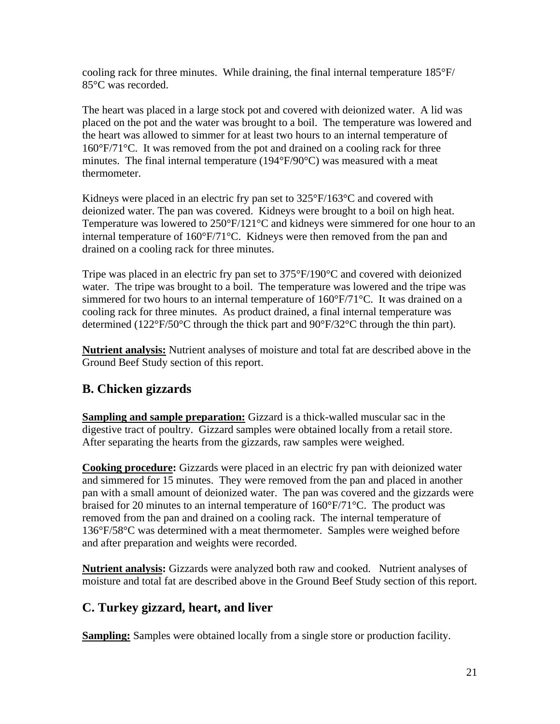cooling rack for three minutes. While draining, the final internal temperature 185°F/ 85°C was recorded.

The heart was placed in a large stock pot and covered with deionized water. A lid was placed on the pot and the water was brought to a boil. The temperature was lowered and the heart was allowed to simmer for at least two hours to an internal temperature of 160°F/71°C. It was removed from the pot and drained on a cooling rack for three minutes. The final internal temperature (194°F/90°C) was measured with a meat thermometer.

Kidneys were placed in an electric fry pan set to  $325^{\circ}F/163^{\circ}C$  and covered with deionized water. The pan was covered. Kidneys were brought to a boil on high heat. Temperature was lowered to 250°F/121°C and kidneys were simmered for one hour to an internal temperature of 160°F/71°C. Kidneys were then removed from the pan and drained on a cooling rack for three minutes.

Tripe was placed in an electric fry pan set to 375°F/190°C and covered with deionized water. The tripe was brought to a boil. The temperature was lowered and the tripe was simmered for two hours to an internal temperature of 160°F/71°C. It was drained on a cooling rack for three minutes. As product drained, a final internal temperature was determined (122°F/50°C through the thick part and 90°F/32°C through the thin part).

**Nutrient analysis:** Nutrient analyses of moisture and total fat are described above in the Ground Beef Study section of this report.

## **B. Chicken gizzards**

**Sampling and sample preparation:** Gizzard is a thick-walled muscular sac in the digestive tract of poultry. Gizzard samples were obtained locally from a retail store. After separating the hearts from the gizzards, raw samples were weighed.

**Cooking procedure:** Gizzards were placed in an electric fry pan with deionized water and simmered for 15 minutes. They were removed from the pan and placed in another pan with a small amount of deionized water. The pan was covered and the gizzards were braised for 20 minutes to an internal temperature of 160°F/71°C. The product was removed from the pan and drained on a cooling rack. The internal temperature of 136°F/58°C was determined with a meat thermometer. Samples were weighed before and after preparation and weights were recorded.

**Nutrient analysis:** Gizzards were analyzed both raw and cooked. Nutrient analyses of moisture and total fat are described above in the Ground Beef Study section of this report.

## **C. Turkey gizzard, heart, and liver**

**Sampling:** Samples were obtained locally from a single store or production facility.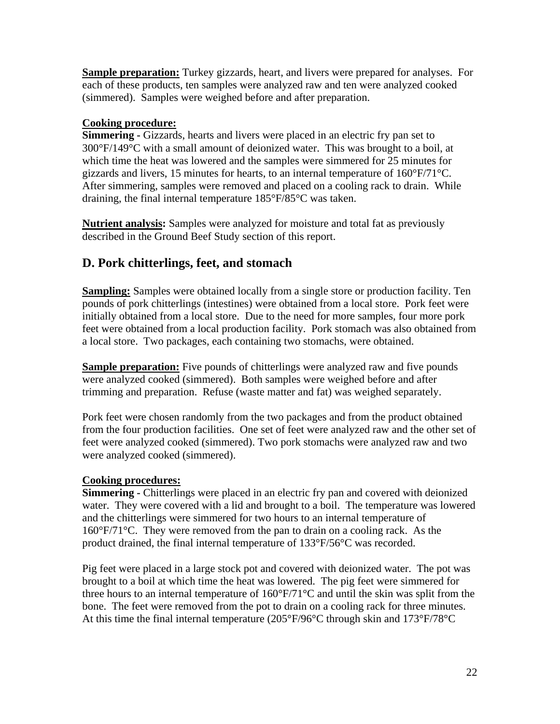**Sample preparation:** Turkey gizzards, heart, and livers were prepared for analyses. For each of these products, ten samples were analyzed raw and ten were analyzed cooked (simmered). Samples were weighed before and after preparation.

#### **Cooking procedure:**

**Simmering -** Gizzards, hearts and livers were placed in an electric fry pan set to 300°F/149°C with a small amount of deionized water. This was brought to a boil, at which time the heat was lowered and the samples were simmered for 25 minutes for gizzards and livers, 15 minutes for hearts, to an internal temperature of 160°F/71°C. After simmering, samples were removed and placed on a cooling rack to drain. While draining, the final internal temperature 185°F/85°C was taken.

**Nutrient analysis:** Samples were analyzed for moisture and total fat as previously described in the Ground Beef Study section of this report.

## **D. Pork chitterlings, feet, and stomach**

**Sampling:** Samples were obtained locally from a single store or production facility. Ten pounds of pork chitterlings (intestines) were obtained from a local store. Pork feet were initially obtained from a local store. Due to the need for more samples, four more pork feet were obtained from a local production facility. Pork stomach was also obtained from a local store. Two packages, each containing two stomachs, were obtained.

**Sample preparation:** Five pounds of chitterlings were analyzed raw and five pounds were analyzed cooked (simmered). Both samples were weighed before and after trimming and preparation. Refuse (waste matter and fat) was weighed separately.

Pork feet were chosen randomly from the two packages and from the product obtained from the four production facilities. One set of feet were analyzed raw and the other set of feet were analyzed cooked (simmered). Two pork stomachs were analyzed raw and two were analyzed cooked (simmered).

#### **Cooking procedures:**

**Simmering - Chitterlings were placed in an electric fry pan and covered with deionized** water. They were covered with a lid and brought to a boil. The temperature was lowered and the chitterlings were simmered for two hours to an internal temperature of 160°F/71°C. They were removed from the pan to drain on a cooling rack. As the product drained, the final internal temperature of 133°F/56°C was recorded.

Pig feet were placed in a large stock pot and covered with deionized water. The pot was brought to a boil at which time the heat was lowered. The pig feet were simmered for three hours to an internal temperature of 160°F/71°C and until the skin was split from the bone. The feet were removed from the pot to drain on a cooling rack for three minutes. At this time the final internal temperature (205°F/96°C through skin and 173°F/78°C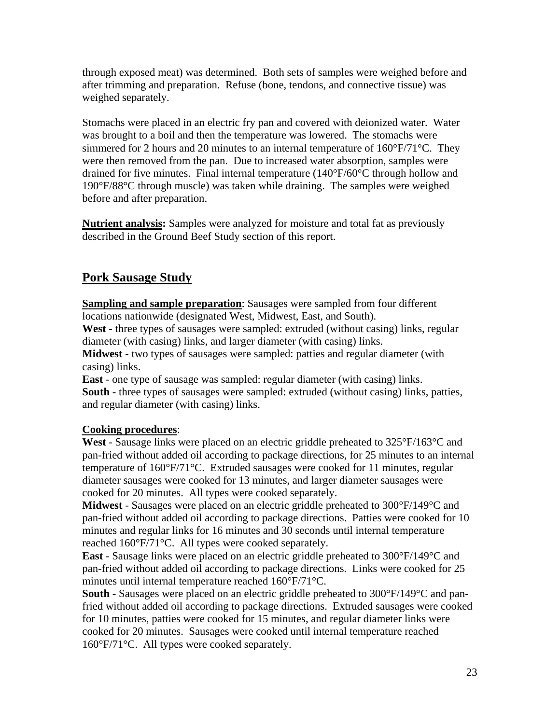through exposed meat) was determined. Both sets of samples were weighed before and after trimming and preparation. Refuse (bone, tendons, and connective tissue) was weighed separately.

Stomachs were placed in an electric fry pan and covered with deionized water. Water was brought to a boil and then the temperature was lowered. The stomachs were simmered for 2 hours and 20 minutes to an internal temperature of  $160^{\circ}F/71^{\circ}C$ . They were then removed from the pan. Due to increased water absorption, samples were drained for five minutes. Final internal temperature (140°F/60°C through hollow and 190°F/88°C through muscle) was taken while draining. The samples were weighed before and after preparation.

**Nutrient analysis:** Samples were analyzed for moisture and total fat as previously described in the Ground Beef Study section of this report.

## **Pork Sausage Study**

**Sampling and sample preparation**: Sausages were sampled from four different locations nationwide (designated West, Midwest, East, and South).

**West** - three types of sausages were sampled: extruded (without casing) links, regular diameter (with casing) links, and larger diameter (with casing) links.

**Midwest** - two types of sausages were sampled: patties and regular diameter (with casing) links.

**East** - one type of sausage was sampled: regular diameter (with casing) links. **South** - three types of sausages were sampled: extruded (without casing) links, patties, and regular diameter (with casing) links.

#### **Cooking procedures**:

**West** - Sausage links were placed on an electric griddle preheated to 325°F/163°C and pan-fried without added oil according to package directions, for 25 minutes to an internal temperature of 160°F/71°C. Extruded sausages were cooked for 11 minutes, regular diameter sausages were cooked for 13 minutes, and larger diameter sausages were cooked for 20 minutes. All types were cooked separately.

**Midwest** - Sausages were placed on an electric griddle preheated to 300°F/149°C and pan-fried without added oil according to package directions. Patties were cooked for 10 minutes and regular links for 16 minutes and 30 seconds until internal temperature reached 160°F/71°C. All types were cooked separately.

**East** - Sausage links were placed on an electric griddle preheated to 300°F/149°C and pan-fried without added oil according to package directions. Links were cooked for 25 minutes until internal temperature reached 160°F/71°C.

**South** - Sausages were placed on an electric griddle preheated to 300°F/149°C and panfried without added oil according to package directions. Extruded sausages were cooked for 10 minutes, patties were cooked for 15 minutes, and regular diameter links were cooked for 20 minutes. Sausages were cooked until internal temperature reached 160°F/71°C. All types were cooked separately.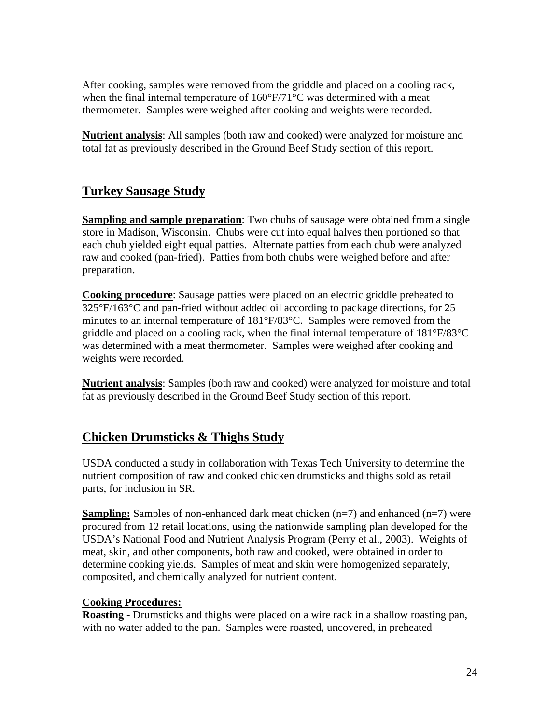After cooking, samples were removed from the griddle and placed on a cooling rack, when the final internal temperature of  $160^{\circ}F/71^{\circ}C$  was determined with a meat thermometer. Samples were weighed after cooking and weights were recorded.

**Nutrient analysis**: All samples (both raw and cooked) were analyzed for moisture and total fat as previously described in the Ground Beef Study section of this report.

## **Turkey Sausage Study**

**Sampling and sample preparation**: Two chubs of sausage were obtained from a single store in Madison, Wisconsin. Chubs were cut into equal halves then portioned so that each chub yielded eight equal patties. Alternate patties from each chub were analyzed raw and cooked (pan-fried). Patties from both chubs were weighed before and after preparation.

**Cooking procedure**: Sausage patties were placed on an electric griddle preheated to 325°F/163°C and pan-fried without added oil according to package directions, for 25 minutes to an internal temperature of 181°F/83°C. Samples were removed from the griddle and placed on a cooling rack, when the final internal temperature of 181°F/83°C was determined with a meat thermometer. Samples were weighed after cooking and weights were recorded.

**Nutrient analysis**: Samples (both raw and cooked) were analyzed for moisture and total fat as previously described in the Ground Beef Study section of this report.

#### **Chicken Drumsticks & Thighs Study**

USDA conducted a study in collaboration with Texas Tech University to determine the nutrient composition of raw and cooked chicken drumsticks and thighs sold as retail parts, for inclusion in SR.

**Sampling:** Samples of non-enhanced dark meat chicken (n=7) and enhanced (n=7) were procured from 12 retail locations, using the nationwide sampling plan developed for the USDA's National Food and Nutrient Analysis Program (Perry et al., 2003). Weights of meat, skin, and other components, both raw and cooked, were obtained in order to determine cooking yields. Samples of meat and skin were homogenized separately, composited, and chemically analyzed for nutrient content.

#### **Cooking Procedures:**

**Roasting -** Drumsticks and thighs were placed on a wire rack in a shallow roasting pan, with no water added to the pan. Samples were roasted, uncovered, in preheated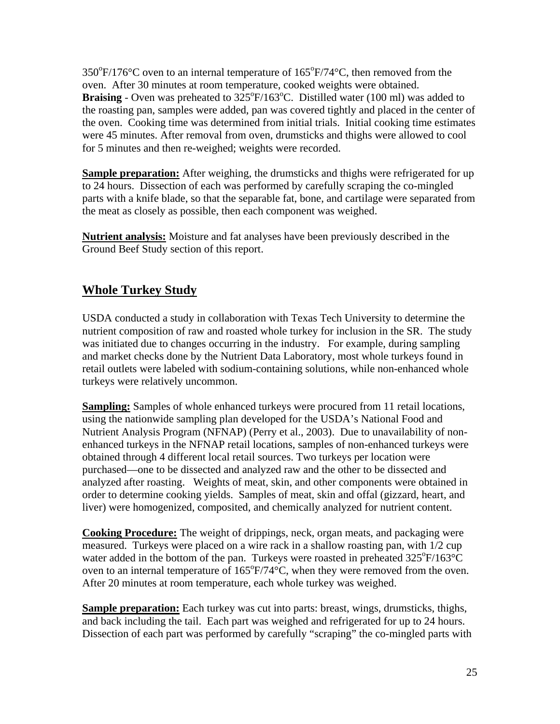$350^{\circ}$ F/176°C oven to an internal temperature of  $165^{\circ}$ F/74°C, then removed from the oven. After 30 minutes at room temperature, cooked weights were obtained. **Braising** - Oven was preheated to 325°F/163°C. Distilled water (100 ml) was added to the roasting pan, samples were added, pan was covered tightly and placed in the center of the oven. Cooking time was determined from initial trials. Initial cooking time estimates were 45 minutes. After removal from oven, drumsticks and thighs were allowed to cool for 5 minutes and then re-weighed; weights were recorded.

**Sample preparation:** After weighing, the drumsticks and thighs were refrigerated for up to 24 hours. Dissection of each was performed by carefully scraping the co-mingled parts with a knife blade, so that the separable fat, bone, and cartilage were separated from the meat as closely as possible, then each component was weighed.

**Nutrient analysis:** Moisture and fat analyses have been previously described in the Ground Beef Study section of this report.

## **Whole Turkey Study**

USDA conducted a study in collaboration with Texas Tech University to determine the nutrient composition of raw and roasted whole turkey for inclusion in the SR. The study was initiated due to changes occurring in the industry. For example, during sampling and market checks done by the Nutrient Data Laboratory, most whole turkeys found in retail outlets were labeled with sodium-containing solutions, while non-enhanced whole turkeys were relatively uncommon.

**Sampling:** Samples of whole enhanced turkeys were procured from 11 retail locations, using the nationwide sampling plan developed for the USDA's National Food and Nutrient Analysis Program (NFNAP) (Perry et al., 2003). Due to unavailability of nonenhanced turkeys in the NFNAP retail locations, samples of non-enhanced turkeys were obtained through 4 different local retail sources. Two turkeys per location were purchased—one to be dissected and analyzed raw and the other to be dissected and analyzed after roasting. Weights of meat, skin, and other components were obtained in order to determine cooking yields. Samples of meat, skin and offal (gizzard, heart, and liver) were homogenized, composited, and chemically analyzed for nutrient content.

**Cooking Procedure:** The weight of drippings, neck, organ meats, and packaging were measured. Turkeys were placed on a wire rack in a shallow roasting pan, with 1/2 cup water added in the bottom of the pan. Turkeys were roasted in preheated  $325^{\circ}F/163^{\circ}C$ oven to an internal temperature of  $165^{\circ}F/74^{\circ}C$ , when they were removed from the oven. After 20 minutes at room temperature, each whole turkey was weighed.

**Sample preparation:** Each turkey was cut into parts: breast, wings, drumsticks, thighs, and back including the tail. Each part was weighed and refrigerated for up to 24 hours. Dissection of each part was performed by carefully "scraping" the co-mingled parts with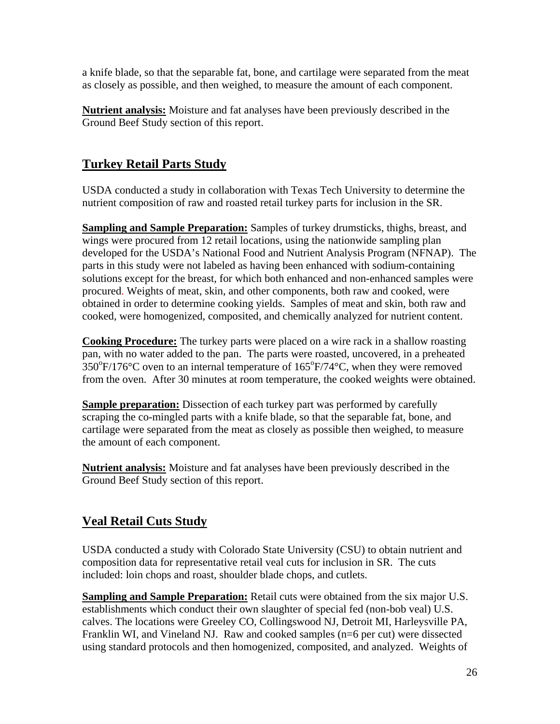a knife blade, so that the separable fat, bone, and cartilage were separated from the meat as closely as possible, and then weighed, to measure the amount of each component.

**Nutrient analysis:** Moisture and fat analyses have been previously described in the Ground Beef Study section of this report.

## **Turkey Retail Parts Study**

USDA conducted a study in collaboration with Texas Tech University to determine the nutrient composition of raw and roasted retail turkey parts for inclusion in the SR.

**Sampling and Sample Preparation:** Samples of turkey drumsticks, thighs, breast, and wings were procured from 12 retail locations, using the nationwide sampling plan developed for the USDA's National Food and Nutrient Analysis Program (NFNAP). The parts in this study were not labeled as having been enhanced with sodium-containing solutions except for the breast, for which both enhanced and non-enhanced samples were procured. Weights of meat, skin, and other components, both raw and cooked, were obtained in order to determine cooking yields. Samples of meat and skin, both raw and cooked, were homogenized, composited, and chemically analyzed for nutrient content.

**Cooking Procedure:** The turkey parts were placed on a wire rack in a shallow roasting pan, with no water added to the pan. The parts were roasted, uncovered, in a preheated  $350^{\circ}$ F/176°C oven to an internal temperature of 165°F/74°C, when they were removed from the oven. After 30 minutes at room temperature, the cooked weights were obtained.

**Sample preparation:** Dissection of each turkey part was performed by carefully scraping the co-mingled parts with a knife blade, so that the separable fat, bone, and cartilage were separated from the meat as closely as possible then weighed, to measure the amount of each component.

**Nutrient analysis:** Moisture and fat analyses have been previously described in the Ground Beef Study section of this report.

## **Veal Retail Cuts Study**

USDA conducted a study with Colorado State University (CSU) to obtain nutrient and composition data for representative retail veal cuts for inclusion in SR. The cuts included: loin chops and roast, shoulder blade chops, and cutlets.

**Sampling and Sample Preparation:** Retail cuts were obtained from the six major U.S. establishments which conduct their own slaughter of special fed (non-bob veal) U.S. calves. The locations were Greeley CO, Collingswood NJ, Detroit MI, Harleysville PA, Franklin WI, and Vineland NJ. Raw and cooked samples (n=6 per cut) were dissected using standard protocols and then homogenized, composited, and analyzed. Weights of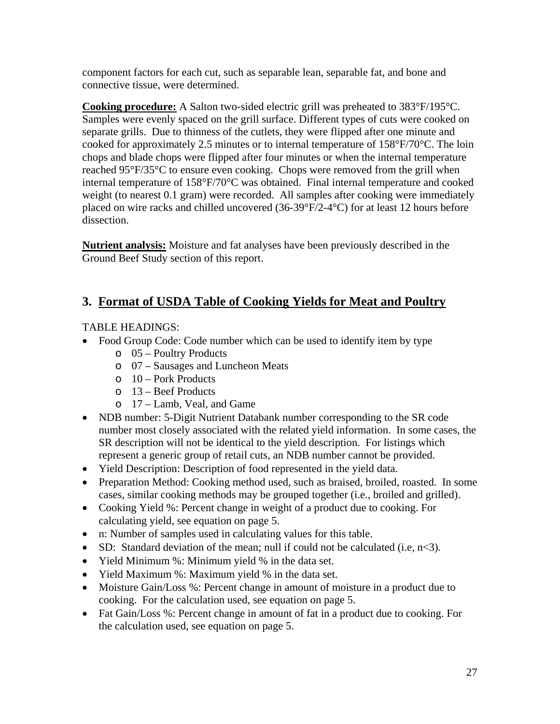component factors for each cut, such as separable lean, separable fat, and bone and connective tissue, were determined.

**Cooking procedure:** A Salton two-sided electric grill was preheated to 383°F/195°C. Samples were evenly spaced on the grill surface. Different types of cuts were cooked on separate grills. Due to thinness of the cutlets, they were flipped after one minute and cooked for approximately 2.5 minutes or to internal temperature of 158°F/70°C. The loin chops and blade chops were flipped after four minutes or when the internal temperature reached 95°F/35°C to ensure even cooking. Chops were removed from the grill when internal temperature of 158°F/70°C was obtained. Final internal temperature and cooked weight (to nearest 0.1 gram) were recorded. All samples after cooking were immediately placed on wire racks and chilled uncovered (36-39°F/2-4°C) for at least 12 hours before dissection.

**Nutrient analysis:** Moisture and fat analyses have been previously described in the Ground Beef Study section of this report.

## **3. Format of USDA Table of Cooking Yields for Meat and Poultry**

#### TABLE HEADINGS:

- Food Group Code: Code number which can be used to identify item by type
	- o 05 Poultry Products
	- o 07 Sausages and Luncheon Meats
	- $\circ$  10 Pork Products
	- o 13 Beef Products
	- o 17 Lamb, Veal, and Game
- NDB number: 5-Digit Nutrient Databank number corresponding to the SR code number most closely associated with the related yield information. In some cases, the SR description will not be identical to the yield description. For listings which represent a generic group of retail cuts, an NDB number cannot be provided.
- Yield Description: Description of food represented in the yield data.
- Preparation Method: Cooking method used, such as braised, broiled, roasted. In some cases, similar cooking methods may be grouped together (i.e., broiled and grilled).
- Cooking Yield %: Percent change in weight of a product due to cooking. For calculating yield, see equation on page 5.
- n: Number of samples used in calculating values for this table.
- $\bullet$  SD: Standard deviation of the mean; null if could not be calculated (i.e, n<3).
- Yield Minimum %: Minimum yield % in the data set.
- Yield Maximum %: Maximum yield % in the data set.
- Moisture Gain/Loss %: Percent change in amount of moisture in a product due to cooking. For the calculation used, see equation on page 5.
- Fat Gain/Loss %: Percent change in amount of fat in a product due to cooking. For the calculation used, see equation on page 5.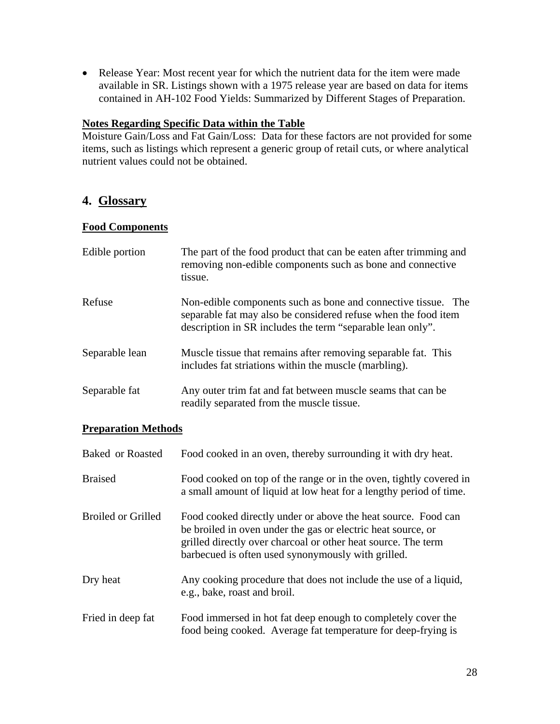• Release Year: Most recent year for which the nutrient data for the item were made available in SR. Listings shown with a 1975 release year are based on data for items contained in AH-102 Food Yields: Summarized by Different Stages of Preparation.

#### **Notes Regarding Specific Data within the Table**

Moisture Gain/Loss and Fat Gain/Loss: Data for these factors are not provided for some items, such as listings which represent a generic group of retail cuts, or where analytical nutrient values could not be obtained.

#### **4. Glossary**

#### **Food Components**

| Edible portion | The part of the food product that can be eaten after trimming and<br>removing non-edible components such as bone and connective<br>tissue.                                                    |
|----------------|-----------------------------------------------------------------------------------------------------------------------------------------------------------------------------------------------|
| Refuse         | Non-edible components such as bone and connective tissue. The<br>separable fat may also be considered refuse when the food item<br>description in SR includes the term "separable lean only". |
| Separable lean | Muscle tissue that remains after removing separable fat. This<br>includes fat striations within the muscle (marbling).                                                                        |
| Separable fat  | Any outer trim fat and fat between muscle seams that can be.<br>readily separated from the muscle tissue.                                                                                     |

#### **Preparation Methods**

| <b>Baked or Roasted</b>   | Food cooked in an oven, thereby surrounding it with dry heat.                                                                                                                                                                                        |
|---------------------------|------------------------------------------------------------------------------------------------------------------------------------------------------------------------------------------------------------------------------------------------------|
| <b>Braised</b>            | Food cooked on top of the range or in the oven, tightly covered in<br>a small amount of liquid at low heat for a lengthy period of time.                                                                                                             |
| <b>Broiled or Grilled</b> | Food cooked directly under or above the heat source. Food can<br>be broiled in oven under the gas or electric heat source, or<br>grilled directly over charcoal or other heat source. The term<br>barbecued is often used synonymously with grilled. |
| Dry heat                  | Any cooking procedure that does not include the use of a liquid,<br>e.g., bake, roast and broil.                                                                                                                                                     |
| Fried in deep fat         | Food immersed in hot fat deep enough to completely cover the<br>food being cooked. Average fat temperature for deep-frying is                                                                                                                        |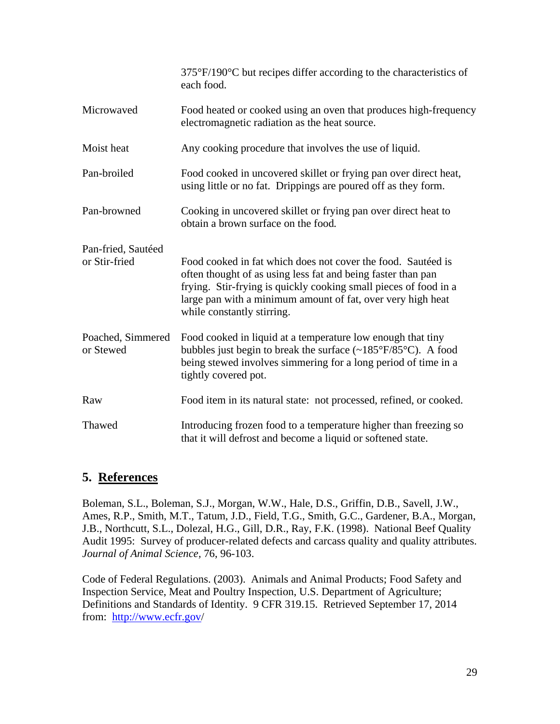|                                     | $375^{\circ}F/190^{\circ}C$ but recipes differ according to the characteristics of<br>each food.                                                                                                                                                                                              |
|-------------------------------------|-----------------------------------------------------------------------------------------------------------------------------------------------------------------------------------------------------------------------------------------------------------------------------------------------|
| Microwaved                          | Food heated or cooked using an oven that produces high-frequency<br>electromagnetic radiation as the heat source.                                                                                                                                                                             |
| Moist heat                          | Any cooking procedure that involves the use of liquid.                                                                                                                                                                                                                                        |
| Pan-broiled                         | Food cooked in uncovered skillet or frying pan over direct heat,<br>using little or no fat. Drippings are poured off as they form.                                                                                                                                                            |
| Pan-browned                         | Cooking in uncovered skillet or frying pan over direct heat to<br>obtain a brown surface on the food.                                                                                                                                                                                         |
| Pan-fried, Sautéed<br>or Stir-fried | Food cooked in fat which does not cover the food. Sautéed is<br>often thought of as using less fat and being faster than pan<br>frying. Stir-frying is quickly cooking small pieces of food in a<br>large pan with a minimum amount of fat, over very high heat<br>while constantly stirring. |
| Poached, Simmered<br>or Stewed      | Food cooked in liquid at a temperature low enough that tiny<br>bubbles just begin to break the surface $(\sim 185^{\circ}F/85^{\circ}C)$ . A food<br>being stewed involves simmering for a long period of time in a<br>tightly covered pot.                                                   |
| Raw                                 | Food item in its natural state: not processed, refined, or cooked.                                                                                                                                                                                                                            |
| Thawed                              | Introducing frozen food to a temperature higher than freezing so<br>that it will defrost and become a liquid or softened state.                                                                                                                                                               |

#### **5. References**

Boleman, S.L., Boleman, S.J., Morgan, W.W., Hale, D.S., Griffin, D.B., Savell, J.W., Ames, R.P., Smith, M.T., Tatum, J.D., Field, T.G., Smith, G.C., Gardener, B.A., Morgan, J.B., Northcutt, S.L., Dolezal, H.G., Gill, D.R., Ray, F.K. (1998). National Beef Quality Audit 1995: Survey of producer-related defects and carcass quality and quality attributes. *Journal of Animal Science,* 76, 96-103.

Code of Federal Regulations. (2003). Animals and Animal Products; Food Safety and Inspection Service, Meat and Poultry Inspection, U.S. Department of Agriculture; Definitions and Standards of Identity. 9 CFR 319.15. Retrieved September 17, 2014 from: http://www.ecfr.gov/